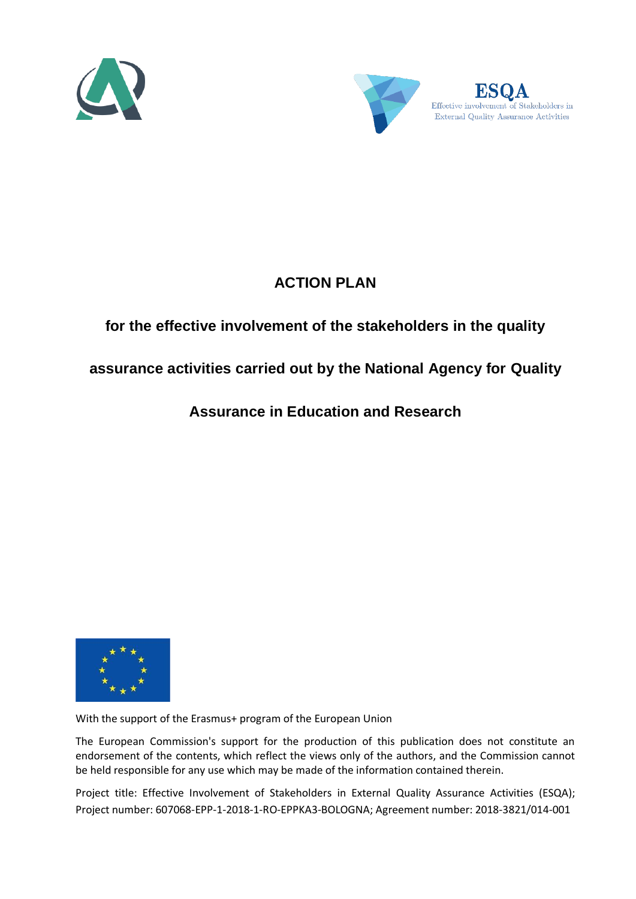



Effective involvement of Stakeholders in External Quality Assurance Activities

# **ACTION PLAN**

## **for the effective involvement of the stakeholders in the quality**

### **assurance activities carried out by the National Agency for Quality**

### **Assurance in Education and Research**



With the support of the Erasmus+ program of the European Union

The European Commission's support for the production of this publication does not constitute an endorsement of the contents, which reflect the views only of the authors, and the Commission cannot be held responsible for any use which may be made of the information contained therein.

Project title: Effective Involvement of Stakeholders in External Quality Assurance Activities (ESQA); Project number: 607068-EPP-1-2018-1-RO-EPPKA3-BOLOGNA; Agreement number: 2018-3821/014-001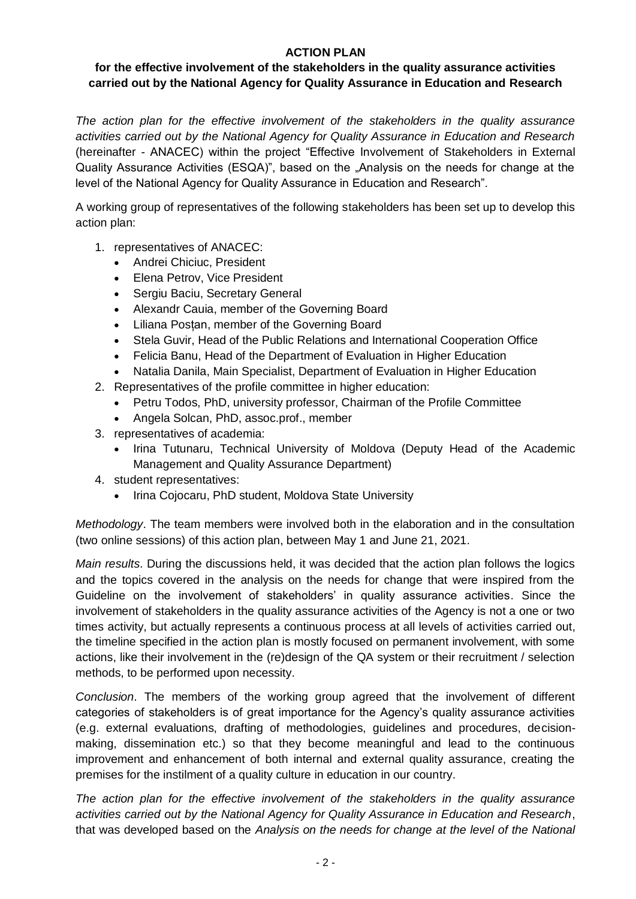#### **ACTION PLAN**

#### **for the effective involvement of the stakeholders in the quality assurance activities carried out by the National Agency for Quality Assurance in Education and Research**

*The action plan for the effective involvement of the stakeholders in the quality assurance activities carried out by the National Agency for Quality Assurance in Education and Research* (hereinafter - ANACEC) within the project "Effective Involvement of Stakeholders in External Quality Assurance Activities (ESQA)", based on the "Analysis on the needs for change at the level of the National Agency for Quality Assurance in Education and Research".

A working group of representatives of the following stakeholders has been set up to develop this action plan:

- 1. representatives of ANACEC:
	- Andrei Chiciuc, President
	- Elena Petrov, Vice President
	- Sergiu Baciu, Secretary General
	- Alexandr Cauia, member of the Governing Board
	- Liliana Posțan, member of the Governing Board
	- Stela Guvir, Head of the Public Relations and International Cooperation Office
	- Felicia Banu, Head of the Department of Evaluation in Higher Education
	- Natalia Danila, Main Specialist, Department of Evaluation in Higher Education
- 2. Representatives of the profile committee in higher education:
	- Petru Todos, PhD, university professor, Chairman of the Profile Committee
	- Angela Solcan, PhD, assoc.prof., member
- 3. representatives of academia:
	- Irina Tutunaru, Technical University of Moldova (Deputy Head of the Academic Management and Quality Assurance Department)
- 4. student representatives:
	- Irina Cojocaru, PhD student, Moldova State University

*Methodology*. The team members were involved both in the elaboration and in the consultation (two online sessions) of this action plan, between May 1 and June 21, 2021.

*Main results*. During the discussions held, it was decided that the action plan follows the logics and the topics covered in the analysis on the needs for change that were inspired from the Guideline on the involvement of stakeholders' in quality assurance activities. Since the involvement of stakeholders in the quality assurance activities of the Agency is not a one or two times activity, but actually represents a continuous process at all levels of activities carried out, the timeline specified in the action plan is mostly focused on permanent involvement, with some actions, like their involvement in the (re)design of the QA system or their recruitment / selection methods, to be performed upon necessity.

*Conclusion*. The members of the working group agreed that the involvement of different categories of stakeholders is of great importance for the Agency's quality assurance activities (e.g. external evaluations, drafting of methodologies, guidelines and procedures, decisionmaking, dissemination etc.) so that they become meaningful and lead to the continuous improvement and enhancement of both internal and external quality assurance, creating the premises for the instilment of a quality culture in education in our country.

*The action plan for the effective involvement of the stakeholders in the quality assurance activities carried out by the National Agency for Quality Assurance in Education and Research*, that was developed based on the *Analysis on the needs for change at the level of the National*